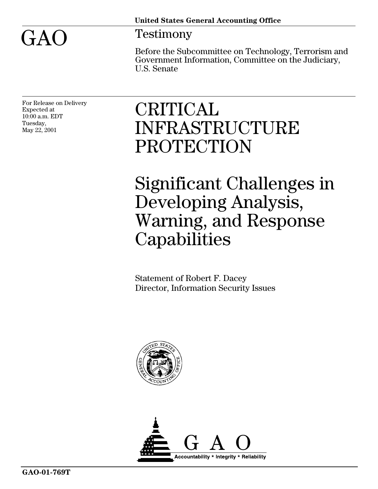

## Testimony

Before the Subcommittee on Technology, Terrorism and Government Information, Committee on the Judiciary, U.S. Senate

For Release on Delivery Expected at 10:00 a.m. EDT Tuesday, May 22, 2001

## CRITICAL INFRASTRUCTURE PROTECTION

Significant Challenges in Developing Analysis, Warning, and Response **Capabilities** 

Statement of Robert F. Dacey Director, Information Security Issues



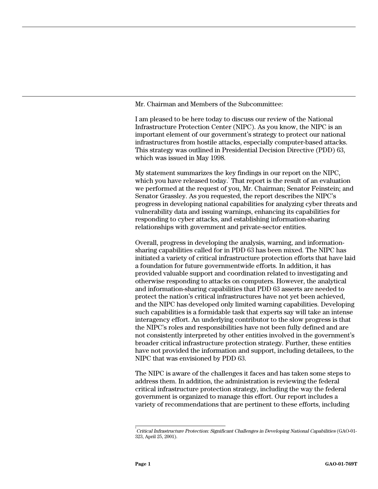Mr. Chairman and Members of the Subcommittee:

I am pleased to be here today to discuss our review of the National Infrastructure Protection Center (NIPC). As you know, the NIPC is an important element of our government's strategy to protect our national infrastructures from hostile attacks, especially computer-based attacks. This strategy was outlined in Presidential Decision Directive (PDD) 63, which was issued in May 1998.

My statement summarizes the key findings in our report on the NIPC, which you have released today. That report is the result of an evaluation we performed at the request of you, Mr. Chairman; Senator Feinstein; and Senator Grassley. As you requested, the report describes the NIPC's progress in developing national capabilities for analyzing cyber threats and vulnerability data and issuing warnings, enhancing its capabilities for responding to cyber attacks, and establishing information-sharing relationships with government and private-sector entities.

Overall, progress in developing the analysis, warning, and informationsharing capabilities called for in PDD 63 has been mixed. The NIPC has initiated a variety of critical infrastructure protection efforts that have laid a foundation for future governmentwide efforts. In addition, it has provided valuable support and coordination related to investigating and otherwise responding to attacks on computers. However, the analytical and information-sharing capabilities that PDD 63 asserts are needed to protect the nation's critical infrastructures have not yet been achieved, and the NIPC has developed only limited warning capabilities. Developing such capabilities is a formidable task that experts say will take an intense interagency effort. An underlying contributor to the slow progress is that the NIPC's roles and responsibilities have not been fully defined and are not consistently interpreted by other entities involved in the government's broader critical infrastructure protection strategy. Further, these entities have not provided the information and support, including detailees, to the NIPC that was envisioned by PDD 63.

The NIPC is aware of the challenges it faces and has taken some steps to address them. In addition, the administration is reviewing the federal critical infrastructure protection strategy, including the way the federal government is organized to manage this effort. Our report includes a variety of recommendations that are pertinent to these efforts, including

<sup>1</sup>Critical Infrastructure Protection: Significant Challenges in Developing National Capabilities (GAO-01- 323, April 25, 2001).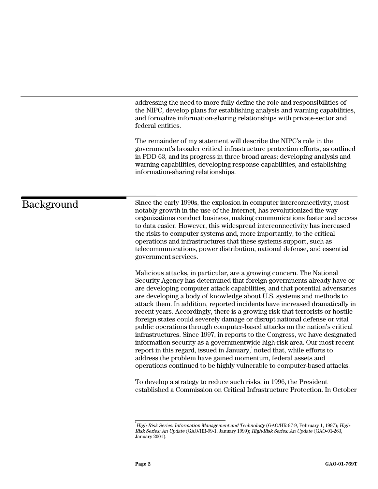addressing the need to more fully define the role and responsibilities of the NIPC, develop plans for establishing analysis and warning capabilities, and formalize information-sharing relationships with private-sector and federal entities.

The remainder of my statement will describe the NIPC's role in the government's broader critical infrastructure protection efforts, as outlined in PDD 63, and its progress in three broad areas: developing analysis and warning capabilities, developing response capabilities, and establishing information-sharing relationships.

## **Background**

Since the early 1990s, the explosion in computer interconnectivity, most notably growth in the use of the Internet, has revolutionized the way organizations conduct business, making communications faster and access to data easier. However, this widespread interconnectivity has increased the risks to computer systems and, more importantly, to the critical operations and infrastructures that these systems support, such as telecommunications, power distribution, national defense, and essential government services.

Malicious attacks, in particular, are a growing concern. The National Security Agency has determined that foreign governments already have or are developing computer attack capabilities, and that potential adversaries are developing a body of knowledge about U.S. systems and methods to attack them. In addition, reported incidents have increased dramatically in recent years. Accordingly, there is a growing risk that terrorists or hostile foreign states could severely damage or disrupt national defense or vital public operations through computer-based attacks on the nation's critical infrastructures. Since 1997, in reports to the Congress, we have designated information security as a governmentwide high-risk area. Our most recent report in this regard, issued in January, $\overset{\,\,{}_\circ}{}$  noted that, while efforts to address the problem have gained momentum, federal assets and operations continued to be highly vulnerable to computer-based attacks.

To develop a strategy to reduce such risks, in 1996, the President established a Commission on Critical Infrastructure Protection. In October

<sup>2</sup>High-Risk Series: Information Management and Technology (GAO/HR-97-9, February 1, 1997); High-Risk Series: An Update (GAO/HR-99-1, January 1999); High-Risk Series: An Update (GAO-01-263, January 2001).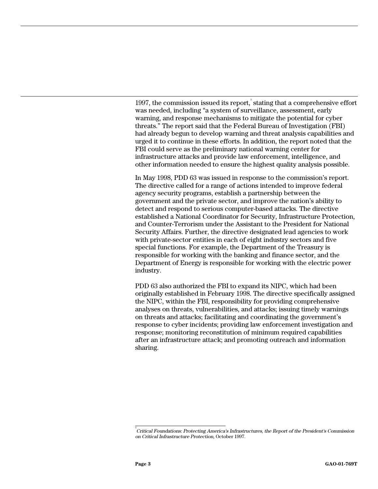1997, the commission issued its report, $\dot{\tilde{\mathbf{}}}$  stating that a comprehensive effort was needed, including "a system of surveillance, assessment, early warning, and response mechanisms to mitigate the potential for cyber threats." The report said that the Federal Bureau of Investigation (FBI) had already begun to develop warning and threat analysis capabilities and urged it to continue in these efforts. In addition, the report noted that the FBI could serve as the preliminary national warning center for infrastructure attacks and provide law enforcement, intelligence, and other information needed to ensure the highest quality analysis possible.

In May 1998, PDD 63 was issued in response to the commission's report. The directive called for a range of actions intended to improve federal agency security programs, establish a partnership between the government and the private sector, and improve the nation's ability to detect and respond to serious computer-based attacks. The directive established a National Coordinator for Security, Infrastructure Protection, and Counter-Terrorism under the Assistant to the President for National Security Affairs. Further, the directive designated lead agencies to work with private-sector entities in each of eight industry sectors and five special functions. For example, the Department of the Treasury is responsible for working with the banking and finance sector, and the Department of Energy is responsible for working with the electric power industry.

PDD 63 also authorized the FBI to expand its NIPC, which had been originally established in February 1998. The directive specifically assigned the NIPC, within the FBI, responsibility for providing comprehensive analyses on threats, vulnerabilities, and attacks; issuing timely warnings on threats and attacks; facilitating and coordinating the government's response to cyber incidents; providing law enforcement investigation and response; monitoring reconstitution of minimum required capabilities after an infrastructure attack; and promoting outreach and information sharing.

<sup>3</sup>Critical Foundations: Protecting America's Infrastructures, the Report of the President's Commission on Critical Infrastructure Protection, October 1997.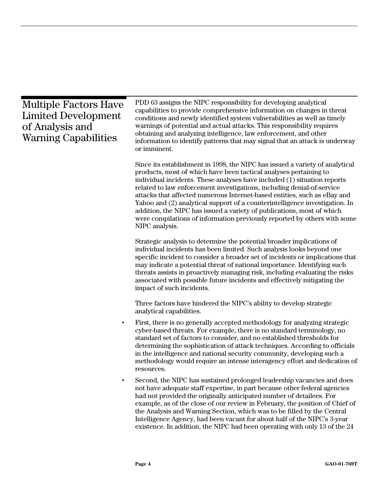| <b>Multiple Factors Have</b><br><b>Limited Development</b><br>of Analysis and<br><b>Warning Capabilities</b><br>$\bullet$<br>$\bullet$ | PDD 63 assigns the NIPC responsibility for developing analytical<br>capabilities to provide comprehensive information on changes in threat<br>conditions and newly identified system vulnerabilities as well as timely<br>warnings of potential and actual attacks. This responsibility requires<br>obtaining and analyzing intelligence, law enforcement, and other<br>information to identify patterns that may signal that an attack is underway<br>or imminent.                                                                                                                                                                        |
|----------------------------------------------------------------------------------------------------------------------------------------|--------------------------------------------------------------------------------------------------------------------------------------------------------------------------------------------------------------------------------------------------------------------------------------------------------------------------------------------------------------------------------------------------------------------------------------------------------------------------------------------------------------------------------------------------------------------------------------------------------------------------------------------|
|                                                                                                                                        | Since its establishment in 1998, the NIPC has issued a variety of analytical<br>products, most of which have been tactical analyses pertaining to<br>individual incidents. These analyses have included (1) situation reports<br>related to law enforcement investigations, including denial-of-service<br>attacks that affected numerous Internet-based entities, such as eBay and<br>Yahoo and (2) analytical support of a counterintelligence investigation. In<br>addition, the NIPC has issued a variety of publications, most of which<br>were compilations of information previously reported by others with some<br>NIPC analysis. |
|                                                                                                                                        | Strategic analysis to determine the potential broader implications of<br>individual incidents has been limited. Such analysis looks beyond one<br>specific incident to consider a broader set of incidents or implications that<br>may indicate a potential threat of national importance. Identifying such<br>threats assists in proactively managing risk, including evaluating the risks<br>associated with possible future incidents and effectively mitigating the<br>impact of such incidents.                                                                                                                                       |
|                                                                                                                                        | Three factors have hindered the NIPC's ability to develop strategic<br>analytical capabilities.                                                                                                                                                                                                                                                                                                                                                                                                                                                                                                                                            |
|                                                                                                                                        | First, there is no generally accepted methodology for analyzing strategic<br>cyber-based threats. For example, there is no standard terminology, no<br>standard set of factors to consider, and no established thresholds for<br>determining the sophistication of attack techniques. According to officials<br>in the intelligence and national security community, developing such a<br>methodology would require an intense interagency effort and dedication of<br>resources.                                                                                                                                                          |
|                                                                                                                                        | Second, the NIPC has sustained prolonged leadership vacancies and does<br>not have adequate staff expertise, in part because other federal agencies<br>had not provided the originally anticipated number of detailees. For<br>example, as of the close of our review in February, the position of Chief of<br>the Analysis and Warning Section, which was to be filled by the Central<br>Intelligence Agency, had been vacant for about half of the NIPC's 3-year                                                                                                                                                                         |

existence. In addition, the NIPC had been operating with only 13 of the 24

l,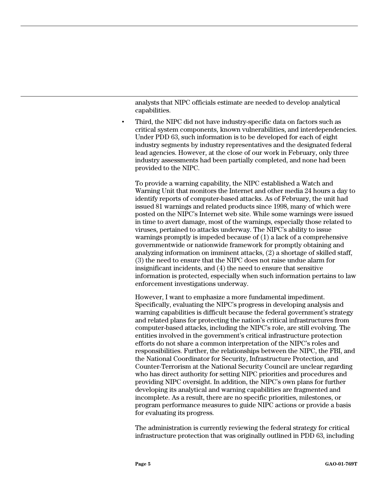analysts that NIPC officials estimate are needed to develop analytical capabilities.

Third, the NIPC did not have industry-specific data on factors such as critical system components, known vulnerabilities, and interdependencies. Under PDD 63, such information is to be developed for each of eight industry segments by industry representatives and the designated federal lead agencies. However, at the close of our work in February, only three industry assessments had been partially completed, and none had been provided to the NIPC.

To provide a warning capability, the NIPC established a Watch and Warning Unit that monitors the Internet and other media 24 hours a day to identify reports of computer-based attacks. As of February, the unit had issued 81 warnings and related products since 1998, many of which were posted on the NIPC's Internet web site. While some warnings were issued in time to avert damage, most of the warnings, especially those related to viruses, pertained to attacks underway. The NIPC's ability to issue warnings promptly is impeded because of (1) a lack of a comprehensive governmentwide or nationwide framework for promptly obtaining and analyzing information on imminent attacks, (2) a shortage of skilled staff, (3) the need to ensure that the NIPC does not raise undue alarm for insignificant incidents, and (4) the need to ensure that sensitive information is protected, especially when such information pertains to law enforcement investigations underway.

However, I want to emphasize a more fundamental impediment. Specifically, evaluating the NIPC's progress in developing analysis and warning capabilities is difficult because the federal government's strategy and related plans for protecting the nation's critical infrastructures from computer-based attacks, including the NIPC's role, are still evolving. The entities involved in the government's critical infrastructure protection efforts do not share a common interpretation of the NIPC's roles and responsibilities. Further, the relationships between the NIPC, the FBI, and the National Coordinator for Security, Infrastructure Protection, and Counter-Terrorism at the National Security Council are unclear regarding who has direct authority for setting NIPC priorities and procedures and providing NIPC oversight. In addition, the NIPC's own plans for further developing its analytical and warning capabilities are fragmented and incomplete. As a result, there are no specific priorities, milestones, or program performance measures to guide NIPC actions or provide a basis for evaluating its progress.

The administration is currently reviewing the federal strategy for critical infrastructure protection that was originally outlined in PDD 63, including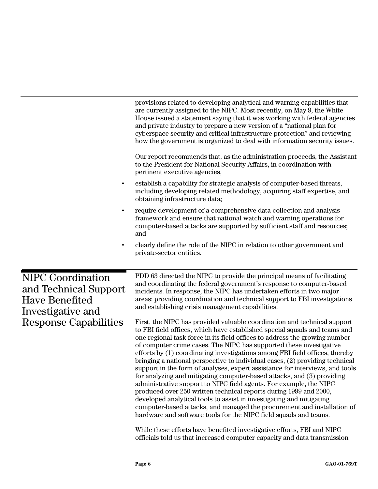|                                                                                                 | provisions related to developing analytical and warning capabilities that<br>are currently assigned to the NIPC. Most recently, on May 9, the White<br>House issued a statement saying that it was working with federal agencies<br>and private industry to prepare a new version of a "national plan for<br>cyberspace security and critical infrastructure protection" and reviewing<br>how the government is organized to deal with information security issues.                                                                                                                                                                                                                                                                                                                                                                                                                                                                                                                                   |
|-------------------------------------------------------------------------------------------------|-------------------------------------------------------------------------------------------------------------------------------------------------------------------------------------------------------------------------------------------------------------------------------------------------------------------------------------------------------------------------------------------------------------------------------------------------------------------------------------------------------------------------------------------------------------------------------------------------------------------------------------------------------------------------------------------------------------------------------------------------------------------------------------------------------------------------------------------------------------------------------------------------------------------------------------------------------------------------------------------------------|
|                                                                                                 | Our report recommends that, as the administration proceeds, the Assistant<br>to the President for National Security Affairs, in coordination with<br>pertinent executive agencies,                                                                                                                                                                                                                                                                                                                                                                                                                                                                                                                                                                                                                                                                                                                                                                                                                    |
| $\bullet$                                                                                       | establish a capability for strategic analysis of computer-based threats,<br>including developing related methodology, acquiring staff expertise, and<br>obtaining infrastructure data;                                                                                                                                                                                                                                                                                                                                                                                                                                                                                                                                                                                                                                                                                                                                                                                                                |
| $\bullet$                                                                                       | require development of a comprehensive data collection and analysis<br>framework and ensure that national watch and warning operations for<br>computer-based attacks are supported by sufficient staff and resources;<br>and                                                                                                                                                                                                                                                                                                                                                                                                                                                                                                                                                                                                                                                                                                                                                                          |
| $\bullet$                                                                                       | clearly define the role of the NIPC in relation to other government and<br>private-sector entities.                                                                                                                                                                                                                                                                                                                                                                                                                                                                                                                                                                                                                                                                                                                                                                                                                                                                                                   |
| <b>NIPC Coordination</b><br>and Technical Support<br><b>Have Benefited</b><br>Investigative and | PDD 63 directed the NIPC to provide the principal means of facilitating<br>and coordinating the federal government's response to computer-based<br>incidents. In response, the NIPC has undertaken efforts in two major<br>areas: providing coordination and technical support to FBI investigations<br>and establishing crisis management capabilities.                                                                                                                                                                                                                                                                                                                                                                                                                                                                                                                                                                                                                                              |
| Response Capabilities                                                                           | First, the NIPC has provided valuable coordination and technical support<br>to FBI field offices, which have established special squads and teams and<br>one regional task force in its field offices to address the growing number<br>of computer crime cases. The NIPC has supported these investigative<br>efforts by (1) coordinating investigations among FBI field offices, thereby<br>bringing a national perspective to individual cases, (2) providing technical<br>support in the form of analyses, expert assistance for interviews, and tools<br>for analyzing and mitigating computer-based attacks, and (3) providing<br>administrative support to NIPC field agents. For example, the NIPC<br>produced over 250 written technical reports during 1999 and 2000,<br>developed analytical tools to assist in investigating and mitigating<br>computer-based attacks, and managed the procurement and installation of<br>hardware and software tools for the NIPC field squads and teams. |
|                                                                                                 | While these efforts have benefited investigative efforts, FBI and NIPC<br>officials told us that increased computer capacity and data transmission                                                                                                                                                                                                                                                                                                                                                                                                                                                                                                                                                                                                                                                                                                                                                                                                                                                    |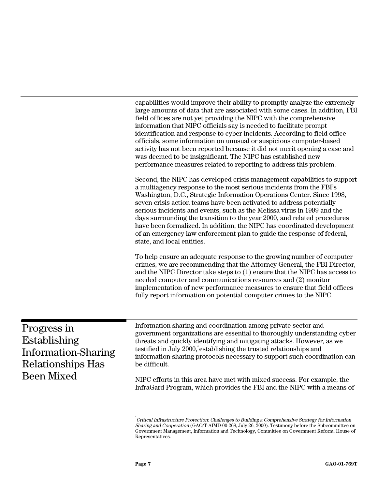capabilities would improve their ability to promptly analyze the extremely large amounts of data that are associated with some cases. In addition, FBI field offices are not yet providing the NIPC with the comprehensive information that NIPC officials say is needed to facilitate prompt identification and response to cyber incidents. According to field office officials, some information on unusual or suspicious computer-based activity has not been reported because it did not merit opening a case and was deemed to be insignificant. The NIPC has established new performance measures related to reporting to address this problem.

Second, the NIPC has developed crisis management capabilities to support a multiagency response to the most serious incidents from the FBI's Washington, D.C., Strategic Information Operations Center. Since 1998, seven crisis action teams have been activated to address potentially serious incidents and events, such as the Melissa virus in 1999 and the days surrounding the transition to the year 2000, and related procedures have been formalized. In addition, the NIPC has coordinated development of an emergency law enforcement plan to guide the response of federal, state, and local entities.

To help ensure an adequate response to the growing number of computer crimes, we are recommending that the Attorney General, the FBI Director, and the NIPC Director take steps to (1) ensure that the NIPC has access to needed computer and communications resources and (2) monitor implementation of new performance measures to ensure that field offices fully report information on potential computer crimes to the NIPC.

| Progress in<br><b>Establishing</b><br><b>Information-Sharing</b><br>Relationships Has | Information sharing and coordination among private-sector and<br>government organizations are essential to thoroughly understanding cyber<br>threats and quickly identifying and mitigating attacks. However, as we<br>testified in July 2000, establishing the trusted relationships and<br>information-sharing protocols necessary to support such coordination can<br>be difficult. |
|---------------------------------------------------------------------------------------|----------------------------------------------------------------------------------------------------------------------------------------------------------------------------------------------------------------------------------------------------------------------------------------------------------------------------------------------------------------------------------------|
| <b>Been Mixed</b>                                                                     | NIPC efforts in this area have met with mixed success. For example, the<br>InfraGard Program, which provides the FBI and the NIPC with a means of                                                                                                                                                                                                                                      |

<sup>4</sup>Critical Infrastructure Protection: Challenges to Building a Comprehensive Strategy for Information Sharing and Cooperation (GAO/T-AIMD-00-268, July 26, 2000). Testimony before the Subcommittee on Government Management, Information and Technology, Committee on Government Reform, House of Representatives.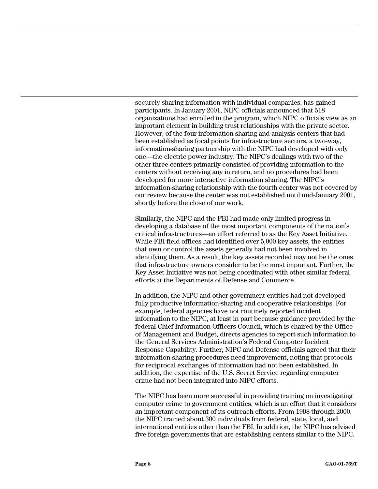securely sharing information with individual companies, has gained participants. In January 2001, NIPC officials announced that 518 organizations had enrolled in the program, which NIPC officials view as an important element in building trust relationships with the private sector. However, of the four information sharing and analysis centers that had been established as focal points for infrastructure sectors, a two-way, information-sharing partnership with the NIPC had developed with only one—the electric power industry. The NIPC's dealings with two of the other three centers primarily consisted of providing information to the centers without receiving any in return, and no procedures had been developed for more interactive information sharing. The NIPC's information-sharing relationship with the fourth center was not covered by our review because the center was not established until mid-January 2001, shortly before the close of our work.

Similarly, the NIPC and the FBI had made only limited progress in developing a database of the most important components of the nation's critical infrastructures—an effort referred to as the Key Asset Initiative. While FBI field offices had identified over 5,000 key assets, the entities that own or control the assets generally had not been involved in identifying them. As a result, the key assets recorded may not be the ones that infrastructure owners consider to be the most important. Further, the Key Asset Initiative was not being coordinated with other similar federal efforts at the Departments of Defense and Commerce.

In addition, the NIPC and other government entities had not developed fully productive information-sharing and cooperative relationships. For example, federal agencies have not routinely reported incident information to the NIPC, at least in part because guidance provided by the federal Chief Information Officers Council, which is chaired by the Office of Management and Budget, directs agencies to report such information to the General Services Administration's Federal Computer Incident Response Capability. Further, NIPC and Defense officials agreed that their information-sharing procedures need improvement, noting that protocols for reciprocal exchanges of information had not been established. In addition, the expertise of the U.S. Secret Service regarding computer crime had not been integrated into NIPC efforts.

The NIPC has been more successful in providing training on investigating computer crime to government entities, which is an effort that it considers an important component of its outreach efforts. From 1998 through 2000, the NIPC trained about 300 individuals from federal, state, local, and international entities other than the FBI. In addition, the NIPC has advised five foreign governments that are establishing centers similar to the NIPC.